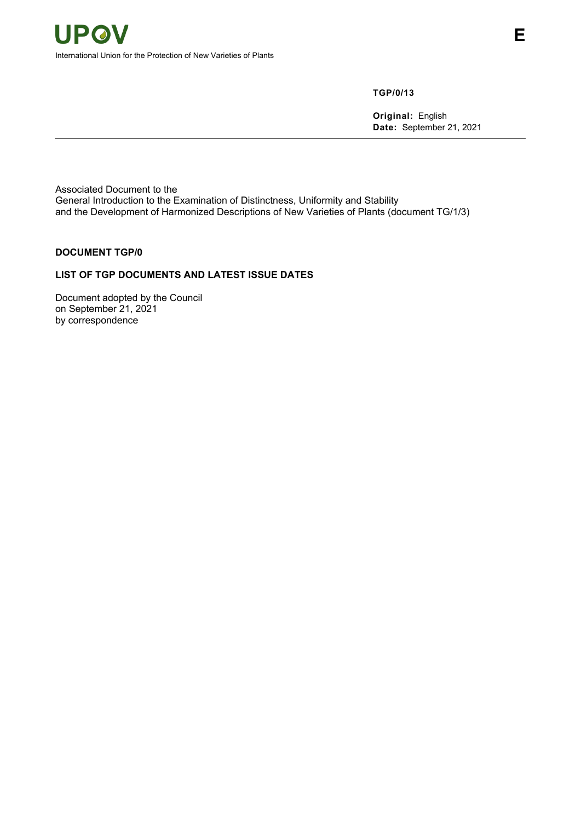**TGP/0/13**

**Original:** English **Date:** September 21, 2021

Associated Document to the General Introduction to the Examination of Distinctness, Uniformity and Stability and the Development of Harmonized Descriptions of New Varieties of Plants (document TG/1/3)

## **DOCUMENT TGP/0**

## **LIST OF TGP DOCUMENTS AND LATEST ISSUE DATES**

Document adopted by the Council on September 21, 2021 by correspondence